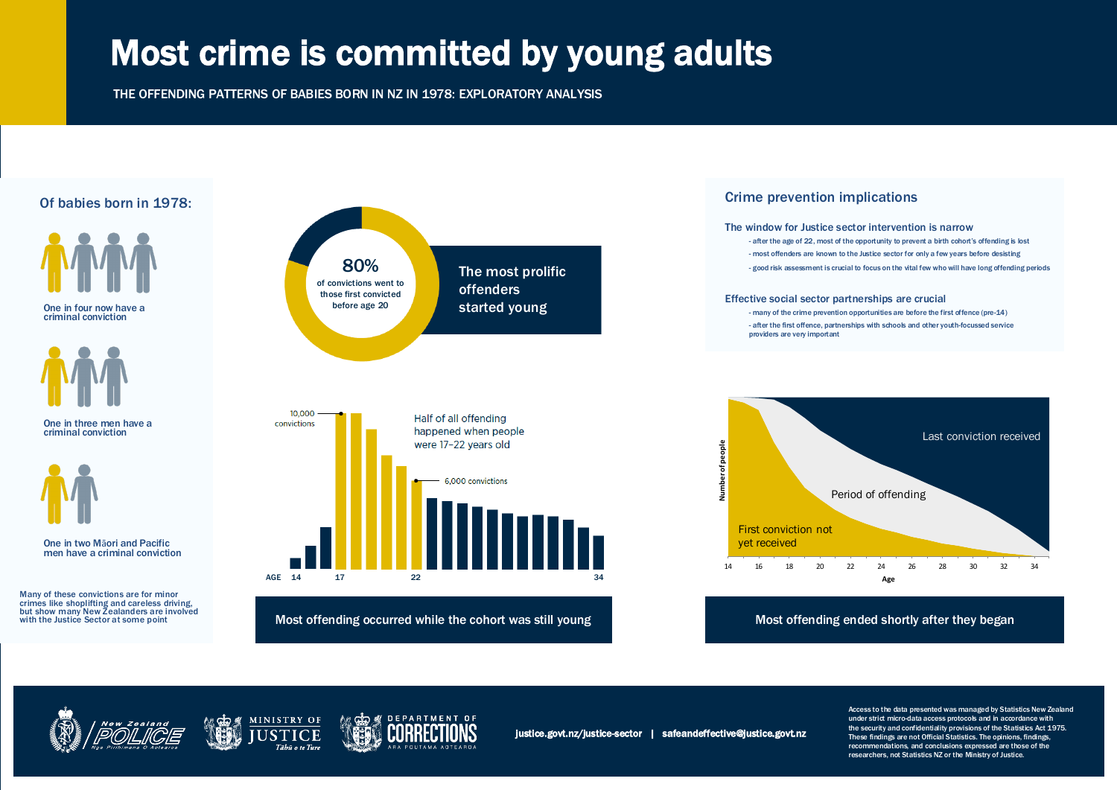# Most crime is committed by young adults

THE OFFENDING PATTERNS OF BABIES BORN IN NZ IN 1978: EXPLORATORY ANALYSIS

Access to the data presented was managed by Statistics New Zealand under strict micro-data access protocols and in accordance with the security and confidentiality provisions of the Statistics Act 1975. These findings are not Official Statistics. The opinions, findings, recommendations, and conclusions expressed are those of the researchers, not Statistics NZ or the Ministry of Justice.







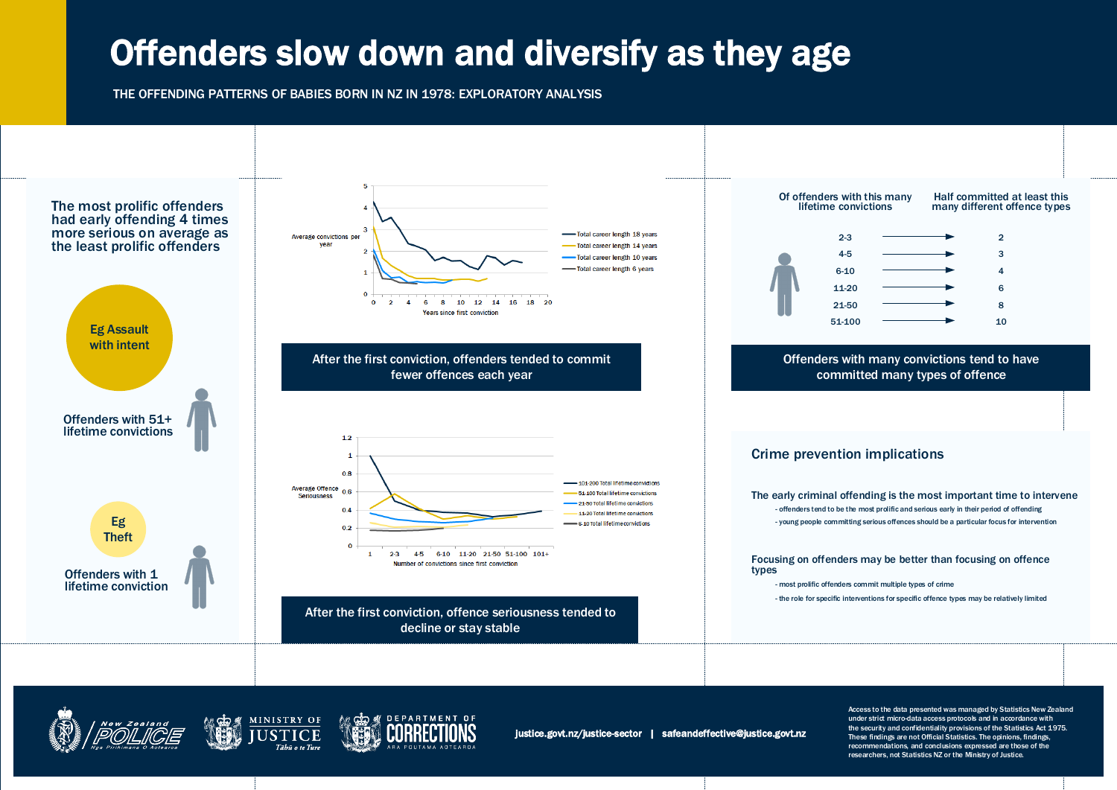## Offenders slow down and diversify as they age

THE OFFENDING PATTERNS OF BABIES BORN IN NZ IN 1978: EXPLORATORY ANALYSIS

Access to the data presented was managed by Statistics New Zealand under strict micro-data access protocols and in accordance with the security and confidentiality provisions of the Statistics Act 1975. These findings are not Official Statistics. The opinions, findings, recommendations, and conclusions expressed are those of the researchers, not Statistics NZ or the Ministry of Justice.

### Focusing on offenders may be better than focusing on offence









- most prolific offenders commit multiple types of crime - the role for specific interventions for specific offence types may be relatively limited

### The early criminal offending is the most important time to intervene

- offenders tend to be the most prolific and serious early in their period of offending - young people committing serious offences should be a particular focus for intervention

## Offenders with many convictions tend to have committed many types of offence

### Half committed at least this many different offence types

| -3    | $\overline{2}$ |
|-------|----------------|
| -5    | 3              |
| 10    | 4              |
| $-20$ | 6              |
| $-50$ | 8              |
| 100   | 10             |